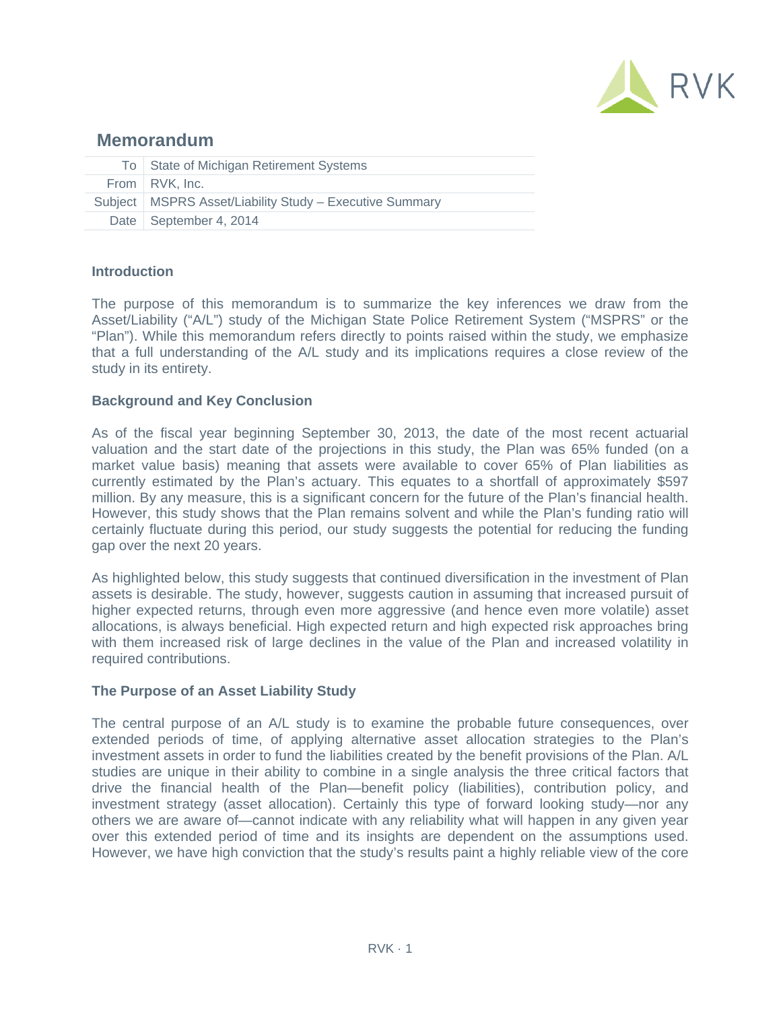

# **Memorandum**

| To State of Michigan Retirement Systems                   |
|-----------------------------------------------------------|
| From RVK, Inc.                                            |
| Subject   MSPRS Asset/Liability Study - Executive Summary |
| Date   September 4, 2014                                  |

# **Introduction**

The purpose of this memorandum is to summarize the key inferences we draw from the Asset/Liability ("A/L") study of the Michigan State Police Retirement System ("MSPRS" or the "Plan"). While this memorandum refers directly to points raised within the study, we emphasize that a full understanding of the A/L study and its implications requires a close review of the study in its entirety.

# **Background and Key Conclusion**

As of the fiscal year beginning September 30, 2013, the date of the most recent actuarial valuation and the start date of the projections in this study, the Plan was 65% funded (on a market value basis) meaning that assets were available to cover 65% of Plan liabilities as currently estimated by the Plan's actuary. This equates to a shortfall of approximately \$597 million. By any measure, this is a significant concern for the future of the Plan's financial health. However, this study shows that the Plan remains solvent and while the Plan's funding ratio will certainly fluctuate during this period, our study suggests the potential for reducing the funding gap over the next 20 years.

As highlighted below, this study suggests that continued diversification in the investment of Plan assets is desirable. The study, however, suggests caution in assuming that increased pursuit of higher expected returns, through even more aggressive (and hence even more volatile) asset allocations, is always beneficial. High expected return and high expected risk approaches bring with them increased risk of large declines in the value of the Plan and increased volatility in required contributions.

### **The Purpose of an Asset Liability Study**

The central purpose of an A/L study is to examine the probable future consequences, over extended periods of time, of applying alternative asset allocation strategies to the Plan's investment assets in order to fund the liabilities created by the benefit provisions of the Plan. A/L studies are unique in their ability to combine in a single analysis the three critical factors that drive the financial health of the Plan—benefit policy (liabilities), contribution policy, and investment strategy (asset allocation). Certainly this type of forward looking study—nor any others we are aware of—cannot indicate with any reliability what will happen in any given year over this extended period of time and its insights are dependent on the assumptions used. However, we have high conviction that the study's results paint a highly reliable view of the core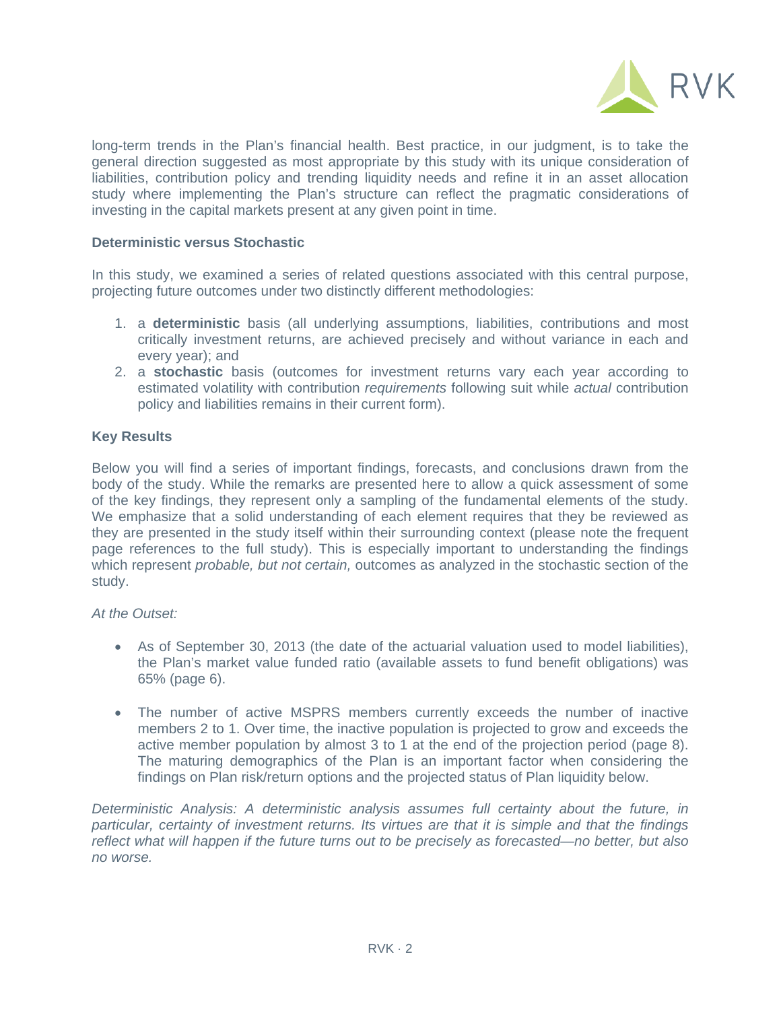

long-term trends in the Plan's financial health. Best practice, in our judgment, is to take the general direction suggested as most appropriate by this study with its unique consideration of liabilities, contribution policy and trending liquidity needs and refine it in an asset allocation study where implementing the Plan's structure can reflect the pragmatic considerations of investing in the capital markets present at any given point in time.

## **Deterministic versus Stochastic**

In this study, we examined a series of related questions associated with this central purpose, projecting future outcomes under two distinctly different methodologies:

- 1. a **deterministic** basis (all underlying assumptions, liabilities, contributions and most critically investment returns, are achieved precisely and without variance in each and every year); and
- 2. a **stochastic** basis (outcomes for investment returns vary each year according to estimated volatility with contribution *requirements* following suit while *actual* contribution policy and liabilities remains in their current form).

# **Key Results**

Below you will find a series of important findings, forecasts, and conclusions drawn from the body of the study. While the remarks are presented here to allow a quick assessment of some of the key findings, they represent only a sampling of the fundamental elements of the study. We emphasize that a solid understanding of each element requires that they be reviewed as they are presented in the study itself within their surrounding context (please note the frequent page references to the full study). This is especially important to understanding the findings which represent *probable, but not certain,* outcomes as analyzed in the stochastic section of the study.

### *At the Outset:*

- As of September 30, 2013 (the date of the actuarial valuation used to model liabilities), the Plan's market value funded ratio (available assets to fund benefit obligations) was 65% (page 6).
- The number of active MSPRS members currently exceeds the number of inactive members 2 to 1. Over time, the inactive population is projected to grow and exceeds the active member population by almost 3 to 1 at the end of the projection period (page 8). The maturing demographics of the Plan is an important factor when considering the findings on Plan risk/return options and the projected status of Plan liquidity below.

*Deterministic Analysis: A deterministic analysis assumes full certainty about the future, in particular, certainty of investment returns. Its virtues are that it is simple and that the findings reflect what will happen if the future turns out to be precisely as forecasted—no better, but also no worse.*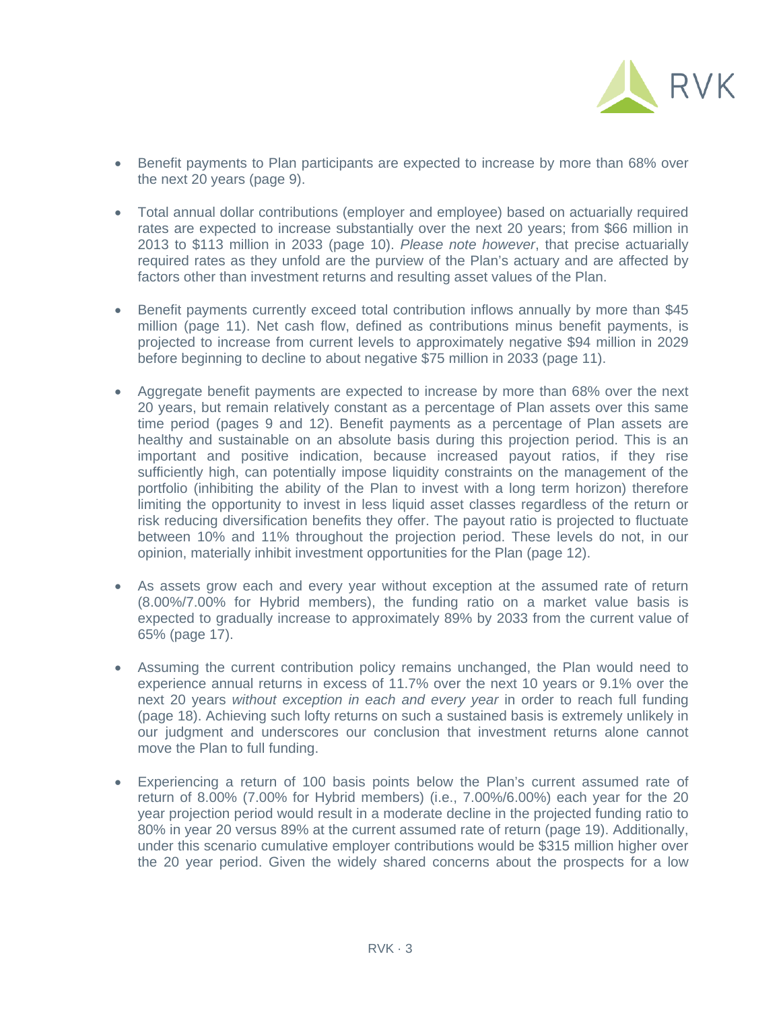

- Benefit payments to Plan participants are expected to increase by more than 68% over the next 20 years (page 9).
- Total annual dollar contributions (employer and employee) based on actuarially required rates are expected to increase substantially over the next 20 years; from \$66 million in 2013 to \$113 million in 2033 (page 10). *Please note however*, that precise actuarially required rates as they unfold are the purview of the Plan's actuary and are affected by factors other than investment returns and resulting asset values of the Plan.
- Benefit payments currently exceed total contribution inflows annually by more than \$45 million (page 11). Net cash flow, defined as contributions minus benefit payments, is projected to increase from current levels to approximately negative \$94 million in 2029 before beginning to decline to about negative \$75 million in 2033 (page 11).
- Aggregate benefit payments are expected to increase by more than 68% over the next 20 years, but remain relatively constant as a percentage of Plan assets over this same time period (pages 9 and 12). Benefit payments as a percentage of Plan assets are healthy and sustainable on an absolute basis during this projection period. This is an important and positive indication, because increased payout ratios, if they rise sufficiently high, can potentially impose liquidity constraints on the management of the portfolio (inhibiting the ability of the Plan to invest with a long term horizon) therefore limiting the opportunity to invest in less liquid asset classes regardless of the return or risk reducing diversification benefits they offer. The payout ratio is projected to fluctuate between 10% and 11% throughout the projection period. These levels do not, in our opinion, materially inhibit investment opportunities for the Plan (page 12).
- As assets grow each and every year without exception at the assumed rate of return (8.00%/7.00% for Hybrid members), the funding ratio on a market value basis is expected to gradually increase to approximately 89% by 2033 from the current value of 65% (page 17).
- Assuming the current contribution policy remains unchanged, the Plan would need to experience annual returns in excess of 11.7% over the next 10 years or 9.1% over the next 20 years *without exception in each and every year* in order to reach full funding (page 18). Achieving such lofty returns on such a sustained basis is extremely unlikely in our judgment and underscores our conclusion that investment returns alone cannot move the Plan to full funding.
- Experiencing a return of 100 basis points below the Plan's current assumed rate of return of 8.00% (7.00% for Hybrid members) (i.e., 7.00%/6.00%) each year for the 20 year projection period would result in a moderate decline in the projected funding ratio to 80% in year 20 versus 89% at the current assumed rate of return (page 19). Additionally, under this scenario cumulative employer contributions would be \$315 million higher over the 20 year period. Given the widely shared concerns about the prospects for a low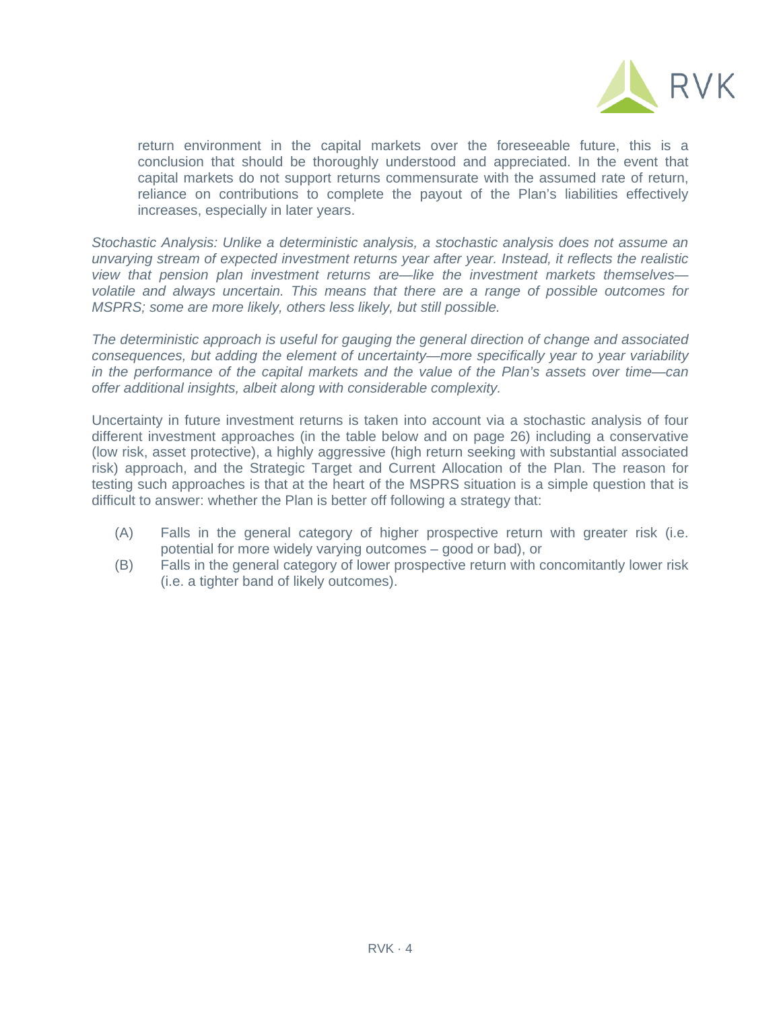

return environment in the capital markets over the foreseeable future, this is a conclusion that should be thoroughly understood and appreciated. In the event that capital markets do not support returns commensurate with the assumed rate of return, reliance on contributions to complete the payout of the Plan's liabilities effectively increases, especially in later years.

*Stochastic Analysis: Unlike a deterministic analysis, a stochastic analysis does not assume an unvarying stream of expected investment returns year after year. Instead, it reflects the realistic view that pension plan investment returns are—like the investment markets themselves volatile and always uncertain. This means that there are a range of possible outcomes for MSPRS; some are more likely, others less likely, but still possible.* 

*The deterministic approach is useful for gauging the general direction of change and associated consequences, but adding the element of uncertainty—more specifically year to year variability in the performance of the capital markets and the value of the Plan's assets over time—can offer additional insights, albeit along with considerable complexity.* 

Uncertainty in future investment returns is taken into account via a stochastic analysis of four different investment approaches (in the table below and on page 26) including a conservative (low risk, asset protective), a highly aggressive (high return seeking with substantial associated risk) approach, and the Strategic Target and Current Allocation of the Plan. The reason for testing such approaches is that at the heart of the MSPRS situation is a simple question that is difficult to answer: whether the Plan is better off following a strategy that:

- (A) Falls in the general category of higher prospective return with greater risk (i.e. potential for more widely varying outcomes – good or bad), or
- (B) Falls in the general category of lower prospective return with concomitantly lower risk (i.e. a tighter band of likely outcomes).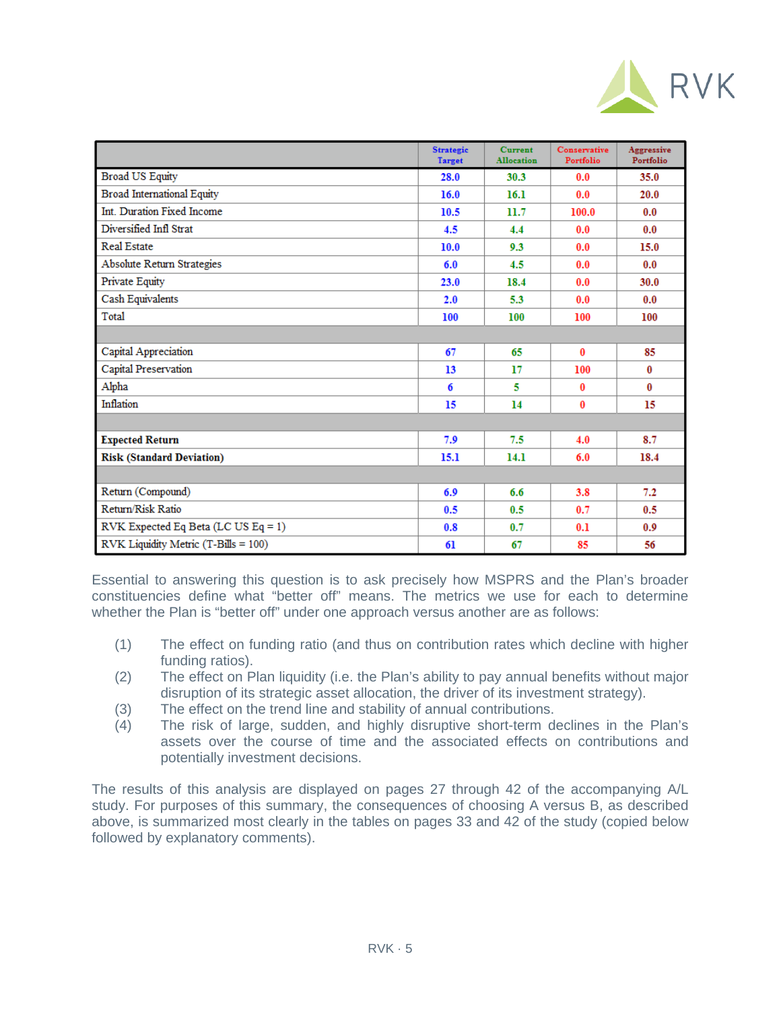

|                                      | <b>Strategic</b><br><b>Target</b> | <b>Current</b><br><b>Allocation</b> | Conservative<br>Portfolio | Aggressive<br>Portfolio |
|--------------------------------------|-----------------------------------|-------------------------------------|---------------------------|-------------------------|
| <b>Broad US Equity</b>               | 28.0                              | 30.3                                | 0.0                       | 35.0                    |
| <b>Broad International Equity</b>    | 16.0                              | 16.1                                | 0.0                       | 20.0                    |
| Int. Duration Fixed Income           | 10.5                              | 11.7                                | 100.0                     | 0.0                     |
| Diversified Infl Strat               | 4.5                               | 4.4                                 | 0.0                       | 0.0                     |
| Real Estate                          | 10.0                              | 9.3                                 | 0.0                       | 15.0                    |
| <b>Absolute Return Strategies</b>    | 6.0                               | 4.5                                 | 0.0                       | 0.0                     |
| Private Equity                       | 23.0                              | 18.4                                | 0.0                       | 30.0                    |
| Cash Equivalents                     | 2.0                               | 5.3                                 | 0.0                       | 0.0                     |
| Total                                | 100                               | 100                                 | 100                       | 100                     |
|                                      |                                   |                                     |                           |                         |
| Capital Appreciation                 | 67                                | 65                                  | 0                         | 85                      |
| Capital Preservation                 | 13                                | 17                                  | 100                       | 0                       |
| Alpha                                | 6                                 | 5                                   | 0                         | 0                       |
| Inflation                            | 15                                | 14                                  | $\mathbf{0}$              | 15                      |
|                                      |                                   |                                     |                           |                         |
| <b>Expected Return</b>               | 7.9                               | 7.5                                 | 4.0                       | 8.7                     |
| <b>Risk (Standard Deviation)</b>     | 15.1                              | 14.1                                | 6.0                       | 18.4                    |
|                                      |                                   |                                     |                           |                         |
| Return (Compound)                    | 6.9                               | 6.6                                 | 3.8                       | 7.2                     |
| Return/Risk Ratio                    | 0.5                               | 0.5                                 | 0.7                       | 0.5                     |
| RVK Expected Eq Beta (LC US Eq = 1)  | 0.8                               | 0.7                                 | 0.1                       | 0.9                     |
| RVK Liquidity Metric (T-Bills = 100) | 61                                | 67                                  | 85                        | 56                      |

Essential to answering this question is to ask precisely how MSPRS and the Plan's broader constituencies define what "better off" means. The metrics we use for each to determine whether the Plan is "better off" under one approach versus another are as follows:

- (1) The effect on funding ratio (and thus on contribution rates which decline with higher funding ratios).
- (2) The effect on Plan liquidity (i.e. the Plan's ability to pay annual benefits without major disruption of its strategic asset allocation, the driver of its investment strategy).
- (3) The effect on the trend line and stability of annual contributions.
- (4) The risk of large, sudden, and highly disruptive short-term declines in the Plan's assets over the course of time and the associated effects on contributions and potentially investment decisions.

The results of this analysis are displayed on pages 27 through 42 of the accompanying A/L study. For purposes of this summary, the consequences of choosing A versus B, as described above, is summarized most clearly in the tables on pages 33 and 42 of the study (copied below followed by explanatory comments).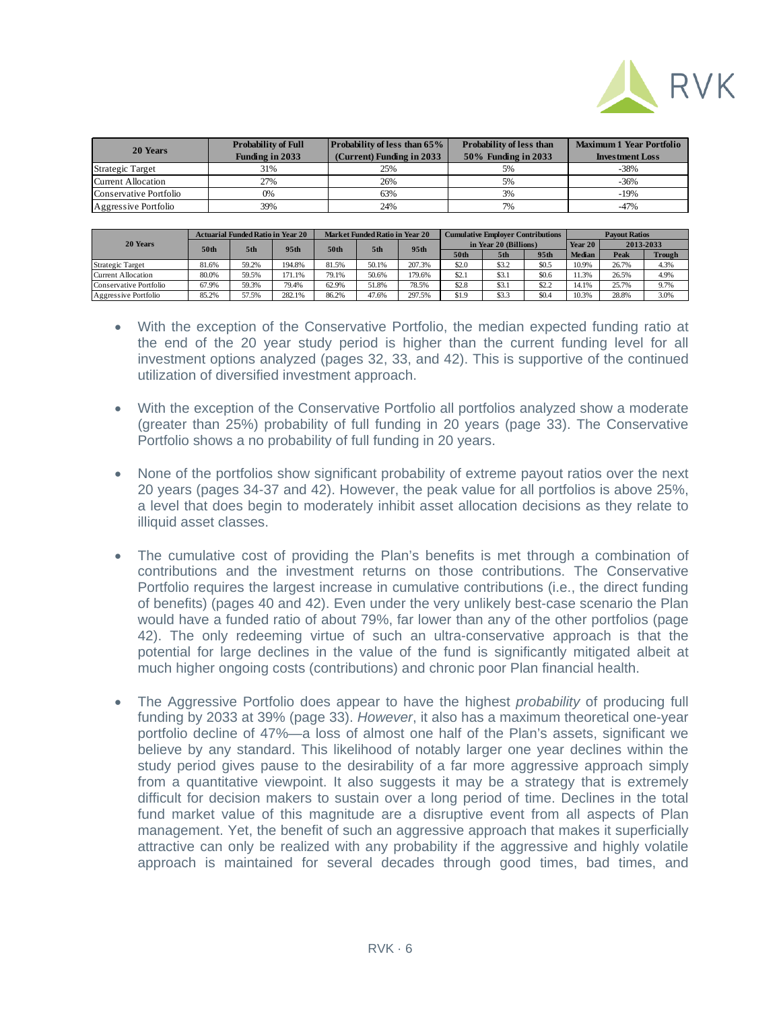

| 20 Years               | <b>Probability of Full</b> | <b>Probability of less than 65%</b> | Probability of less than | <b>Maximum 1 Year Portfolio</b> |  |  |
|------------------------|----------------------------|-------------------------------------|--------------------------|---------------------------------|--|--|
|                        | <b>Funding in 2033</b>     | (Current) Funding in 2033           | 50% Funding in 2033      | <b>Investment Loss</b>          |  |  |
| Strategic Target       | 31%                        | 25%                                 | 5%                       | -38%                            |  |  |
| Current Allocation     | 27%                        | 26%                                 | 5%                       | $-36%$                          |  |  |
| Conservative Portfolio | 0%                         | 63%                                 | 3%                       | $-19%$                          |  |  |
| Aggressive Portfolio   | 39%                        | 24%                                 | 7%                       | $-47%$                          |  |  |

| 20 Years               | <b>Actuarial Funded Ratio in Year 20</b> |                 |                  | <b>Market Funded Ratio in Year 20</b> |       |        | <b>Cumulative Employer Contributions</b> |       |       | <b>Payout Ratios</b> |           |               |
|------------------------|------------------------------------------|-----------------|------------------|---------------------------------------|-------|--------|------------------------------------------|-------|-------|----------------------|-----------|---------------|
|                        | 50th                                     | 5 <sup>th</sup> | 95 <sub>th</sub> | 50th                                  | 5th   | 95th   | in Year 20 (Billions)                    |       |       | Year 20              | 2013-2033 |               |
|                        |                                          |                 |                  |                                       |       |        | 50th                                     | 5th   | 95th  | <b>Median</b>        | Peak      | <b>Trough</b> |
| Strategic Target       | 81.6%                                    | 59.2%           | 194.8%           | 81.5%                                 | 50.1% | 207.3% | \$2.0                                    | \$3.2 | \$0.5 | 10.9%                | 26.7%     | 4.3%          |
| Current Allocation     | 80.0%                                    | 59.5%           | 171.1%           | 79.1%                                 | 50.6% | 179.6% | \$2.1                                    | \$3.1 | \$0.6 | 11.3%                | 26.5%     | 4.9%          |
| Conservative Portfolio | 67.9%                                    | 59.3%           | 79.4%            | 62.9%                                 | 51.8% | 78.5%  | \$2.8                                    | \$3.1 | \$2.2 | 14.1%                | 25.7%     | 9.7%          |
| Aggressive Portfolio   | 85.2%                                    | 57.5%           | 282.1%           | 86.2%                                 | 47.6% | 297.5% | \$1.9                                    | \$3.3 | \$0.4 | 10.3%                | 28.8%     | 3.0%          |

- With the exception of the Conservative Portfolio, the median expected funding ratio at the end of the 20 year study period is higher than the current funding level for all investment options analyzed (pages 32, 33, and 42). This is supportive of the continued utilization of diversified investment approach.
- With the exception of the Conservative Portfolio all portfolios analyzed show a moderate (greater than 25%) probability of full funding in 20 years (page 33). The Conservative Portfolio shows a no probability of full funding in 20 years.
- None of the portfolios show significant probability of extreme payout ratios over the next 20 years (pages 34-37 and 42). However, the peak value for all portfolios is above 25%, a level that does begin to moderately inhibit asset allocation decisions as they relate to illiquid asset classes.
- The cumulative cost of providing the Plan's benefits is met through a combination of contributions and the investment returns on those contributions. The Conservative Portfolio requires the largest increase in cumulative contributions (i.e., the direct funding of benefits) (pages 40 and 42). Even under the very unlikely best-case scenario the Plan would have a funded ratio of about 79%, far lower than any of the other portfolios (page 42). The only redeeming virtue of such an ultra-conservative approach is that the potential for large declines in the value of the fund is significantly mitigated albeit at much higher ongoing costs (contributions) and chronic poor Plan financial health.
- The Aggressive Portfolio does appear to have the highest *probability* of producing full funding by 2033 at 39% (page 33). *However*, it also has a maximum theoretical one-year portfolio decline of 47%—a loss of almost one half of the Plan's assets, significant we believe by any standard. This likelihood of notably larger one year declines within the study period gives pause to the desirability of a far more aggressive approach simply from a quantitative viewpoint. It also suggests it may be a strategy that is extremely difficult for decision makers to sustain over a long period of time. Declines in the total fund market value of this magnitude are a disruptive event from all aspects of Plan management. Yet, the benefit of such an aggressive approach that makes it superficially attractive can only be realized with any probability if the aggressive and highly volatile approach is maintained for several decades through good times, bad times, and